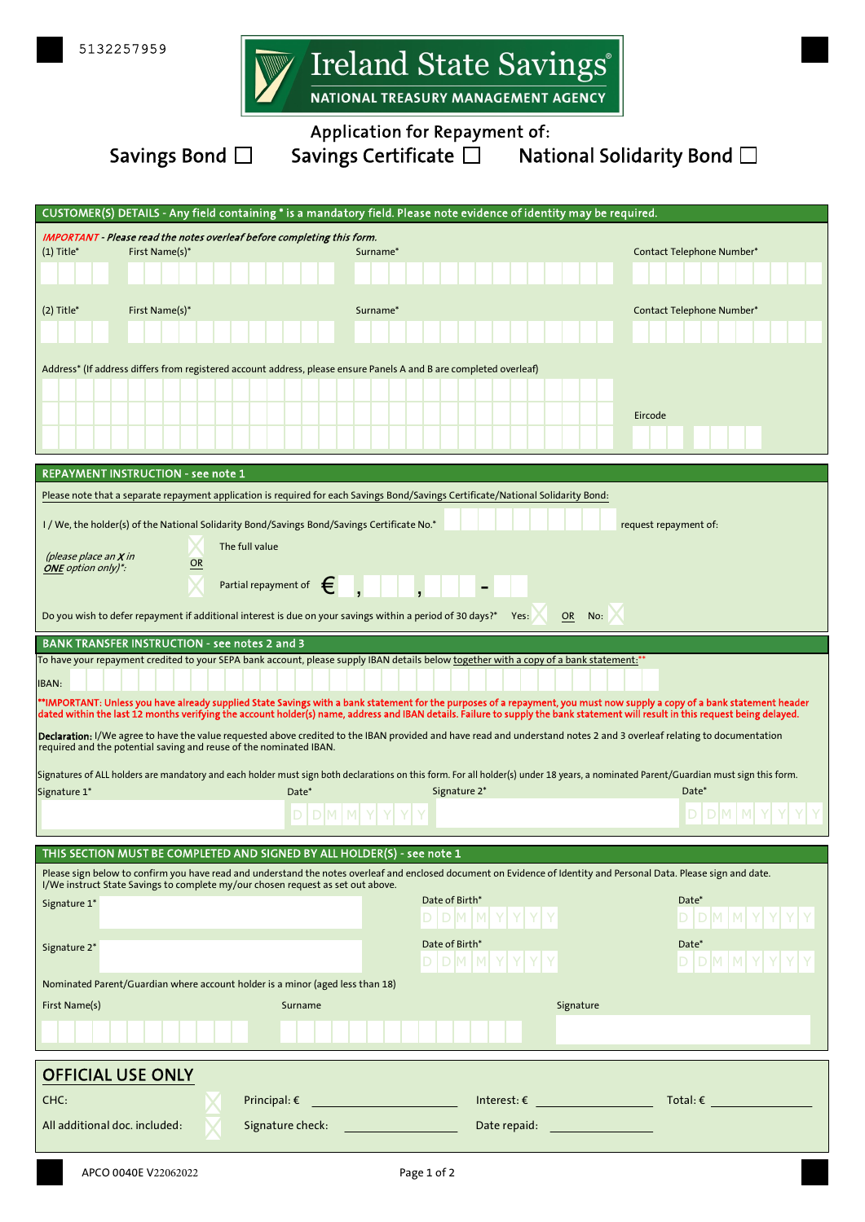

Savings Bond  $\square$  Savings C

| <b>Application for Repayment of:</b> |                                    |  |  |  |
|--------------------------------------|------------------------------------|--|--|--|
| vings Certificate $\square$          | National Solidarity Bond $\square$ |  |  |  |

| CUSTOMER(S) DETAILS - Any field containing * is a mandatory field. Please note evidence of identity may be required.                                                                                                                                                                                                                                        |                                                      |                                                                                                                    |                                                                                                                                                     |                                                                                                                                                                                      |  |
|-------------------------------------------------------------------------------------------------------------------------------------------------------------------------------------------------------------------------------------------------------------------------------------------------------------------------------------------------------------|------------------------------------------------------|--------------------------------------------------------------------------------------------------------------------|-----------------------------------------------------------------------------------------------------------------------------------------------------|--------------------------------------------------------------------------------------------------------------------------------------------------------------------------------------|--|
|                                                                                                                                                                                                                                                                                                                                                             |                                                      | <b>IMPORTANT</b> - Please read the notes overleaf before completing this form.                                     |                                                                                                                                                     |                                                                                                                                                                                      |  |
| $(1)$ Title*                                                                                                                                                                                                                                                                                                                                                | First Name(s)*                                       | Surname*                                                                                                           |                                                                                                                                                     | Contact Telephone Number*                                                                                                                                                            |  |
|                                                                                                                                                                                                                                                                                                                                                             |                                                      |                                                                                                                    |                                                                                                                                                     |                                                                                                                                                                                      |  |
| $(2)$ Title*                                                                                                                                                                                                                                                                                                                                                | First Name(s)*                                       | Surname*                                                                                                           |                                                                                                                                                     | Contact Telephone Number*                                                                                                                                                            |  |
|                                                                                                                                                                                                                                                                                                                                                             |                                                      |                                                                                                                    |                                                                                                                                                     |                                                                                                                                                                                      |  |
|                                                                                                                                                                                                                                                                                                                                                             |                                                      |                                                                                                                    |                                                                                                                                                     |                                                                                                                                                                                      |  |
|                                                                                                                                                                                                                                                                                                                                                             |                                                      | Address* (If address differs from registered account address, please ensure Panels A and B are completed overleaf) |                                                                                                                                                     |                                                                                                                                                                                      |  |
|                                                                                                                                                                                                                                                                                                                                                             |                                                      |                                                                                                                    |                                                                                                                                                     |                                                                                                                                                                                      |  |
|                                                                                                                                                                                                                                                                                                                                                             |                                                      |                                                                                                                    |                                                                                                                                                     | Eircode                                                                                                                                                                              |  |
|                                                                                                                                                                                                                                                                                                                                                             |                                                      |                                                                                                                    |                                                                                                                                                     |                                                                                                                                                                                      |  |
|                                                                                                                                                                                                                                                                                                                                                             |                                                      |                                                                                                                    |                                                                                                                                                     |                                                                                                                                                                                      |  |
|                                                                                                                                                                                                                                                                                                                                                             | REPAYMENT INSTRUCTION - see note 1                   |                                                                                                                    |                                                                                                                                                     |                                                                                                                                                                                      |  |
|                                                                                                                                                                                                                                                                                                                                                             |                                                      |                                                                                                                    | Please note that a separate repayment application is required for each Savings Bond/Savings Certificate/National Solidarity Bond:                   |                                                                                                                                                                                      |  |
|                                                                                                                                                                                                                                                                                                                                                             |                                                      | I / We, the holder(s) of the National Solidarity Bond/Savings Bond/Savings Certificate No.*                        |                                                                                                                                                     | request repayment of:                                                                                                                                                                |  |
| (please place an $X$ in                                                                                                                                                                                                                                                                                                                                     |                                                      | The full value                                                                                                     |                                                                                                                                                     |                                                                                                                                                                                      |  |
| <b>ONE</b> option only)*:                                                                                                                                                                                                                                                                                                                                   | OR                                                   |                                                                                                                    |                                                                                                                                                     |                                                                                                                                                                                      |  |
|                                                                                                                                                                                                                                                                                                                                                             |                                                      | €<br>Partial repayment of                                                                                          | $\qquad \qquad \blacksquare$                                                                                                                        |                                                                                                                                                                                      |  |
|                                                                                                                                                                                                                                                                                                                                                             |                                                      | Do you wish to defer repayment if additional interest is due on your savings within a period of 30 days?*          | Yes:                                                                                                                                                | <b>OR</b><br>No:                                                                                                                                                                     |  |
|                                                                                                                                                                                                                                                                                                                                                             | <b>BANK TRANSFER INSTRUCTION - see notes 2 and 3</b> |                                                                                                                    |                                                                                                                                                     |                                                                                                                                                                                      |  |
|                                                                                                                                                                                                                                                                                                                                                             |                                                      |                                                                                                                    | To have your repayment credited to your SEPA bank account, please supply IBAN details below together with a copy of a bank statement: <sup>**</sup> |                                                                                                                                                                                      |  |
| IBAN:                                                                                                                                                                                                                                                                                                                                                       |                                                      |                                                                                                                    |                                                                                                                                                     |                                                                                                                                                                                      |  |
| **IMPORTANT: Unless you have already supplied State Savings with a bank statement for the purposes of a repayment, you must now supply a copy of a bank statement header<br>dated within the last 12 months verifying the account holder(s) name, address and IBAN details. Failure to supply the bank statement will result in this request being delayed. |                                                      |                                                                                                                    |                                                                                                                                                     |                                                                                                                                                                                      |  |
| Declaration: I/We agree to have the value requested above credited to the IBAN provided and have read and understand notes 2 and 3 overleaf relating to documentation<br>required and the potential saving and reuse of the nominated IBAN.                                                                                                                 |                                                      |                                                                                                                    |                                                                                                                                                     |                                                                                                                                                                                      |  |
|                                                                                                                                                                                                                                                                                                                                                             |                                                      |                                                                                                                    |                                                                                                                                                     | Signatures of ALL holders are mandatory and each holder must sign both declarations on this form. For all holder(s) under 18 years, a nominated Parent/Guardian must sign this form. |  |
| Signature 1*                                                                                                                                                                                                                                                                                                                                                |                                                      | Date*                                                                                                              | Signature 2*                                                                                                                                        | Date*                                                                                                                                                                                |  |
|                                                                                                                                                                                                                                                                                                                                                             |                                                      |                                                                                                                    |                                                                                                                                                     |                                                                                                                                                                                      |  |
|                                                                                                                                                                                                                                                                                                                                                             |                                                      |                                                                                                                    |                                                                                                                                                     |                                                                                                                                                                                      |  |
|                                                                                                                                                                                                                                                                                                                                                             |                                                      | THIS SECTION MUST BE COMPLETED AND SIGNED BY ALL HOLDER(S) - see note 1                                            |                                                                                                                                                     |                                                                                                                                                                                      |  |
|                                                                                                                                                                                                                                                                                                                                                             |                                                      | I/We instruct State Savings to complete my/our chosen request as set out above.                                    |                                                                                                                                                     | Please sign below to confirm you have read and understand the notes overleaf and enclosed document on Evidence of Identity and Personal Data. Please sign and date.                  |  |
| Signature 1*                                                                                                                                                                                                                                                                                                                                                |                                                      |                                                                                                                    | Date of Birth*                                                                                                                                      | Date*                                                                                                                                                                                |  |
|                                                                                                                                                                                                                                                                                                                                                             |                                                      |                                                                                                                    | D   D   M   M                                                                                                                                       |                                                                                                                                                                                      |  |
| Signature 2*                                                                                                                                                                                                                                                                                                                                                |                                                      |                                                                                                                    | Date of Birth*                                                                                                                                      | Date*                                                                                                                                                                                |  |
|                                                                                                                                                                                                                                                                                                                                                             |                                                      |                                                                                                                    | <b>DMM</b>                                                                                                                                          |                                                                                                                                                                                      |  |
|                                                                                                                                                                                                                                                                                                                                                             |                                                      | Nominated Parent/Guardian where account holder is a minor (aged less than 18)                                      |                                                                                                                                                     |                                                                                                                                                                                      |  |
| First Name(s)                                                                                                                                                                                                                                                                                                                                               |                                                      | Surname                                                                                                            |                                                                                                                                                     | Signature                                                                                                                                                                            |  |
|                                                                                                                                                                                                                                                                                                                                                             |                                                      |                                                                                                                    |                                                                                                                                                     |                                                                                                                                                                                      |  |
|                                                                                                                                                                                                                                                                                                                                                             |                                                      |                                                                                                                    |                                                                                                                                                     |                                                                                                                                                                                      |  |
|                                                                                                                                                                                                                                                                                                                                                             | <b>OFFICIAL USE ONLY</b>                             |                                                                                                                    |                                                                                                                                                     |                                                                                                                                                                                      |  |
| CHC:                                                                                                                                                                                                                                                                                                                                                        |                                                      | Principal: $\epsilon$                                                                                              |                                                                                                                                                     | $\textsf{Interest:} \varepsilon \underbrace{\qquad \qquad \qquad }_{\textsf{}}$<br>Total: €                                                                                          |  |
|                                                                                                                                                                                                                                                                                                                                                             | All additional doc. included:                        |                                                                                                                    |                                                                                                                                                     |                                                                                                                                                                                      |  |
|                                                                                                                                                                                                                                                                                                                                                             |                                                      | Signature check:                                                                                                   |                                                                                                                                                     | Date repaid: <u>_________________</u>                                                                                                                                                |  |
|                                                                                                                                                                                                                                                                                                                                                             |                                                      |                                                                                                                    |                                                                                                                                                     |                                                                                                                                                                                      |  |
|                                                                                                                                                                                                                                                                                                                                                             | APCO 0040E V22062022                                 |                                                                                                                    | Page 1 of 2                                                                                                                                         |                                                                                                                                                                                      |  |